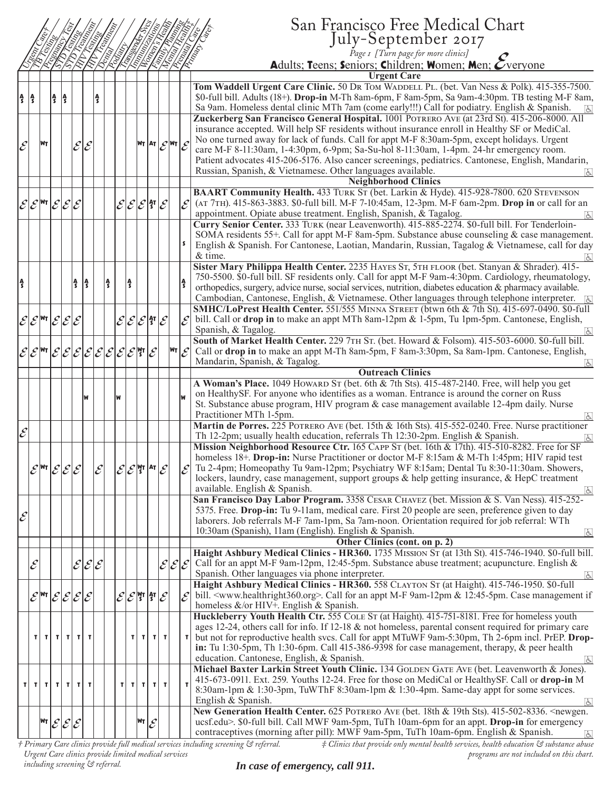|                                   |              |                             |                                                                                   |   |                                       |                          |                                                                                                                                                          |    |   |                                                            |                             |                                                                                                  |                                          | San Francisco Free Medical Chart                                                                                                                                                                   |
|-----------------------------------|--------------|-----------------------------|-----------------------------------------------------------------------------------|---|---------------------------------------|--------------------------|----------------------------------------------------------------------------------------------------------------------------------------------------------|----|---|------------------------------------------------------------|-----------------------------|--------------------------------------------------------------------------------------------------|------------------------------------------|----------------------------------------------------------------------------------------------------------------------------------------------------------------------------------------------------|
|                                   |              |                             |                                                                                   |   |                                       |                          | EZEZ<br>LEZEZEZEZEZ<br>LEZEZEZEZEZEZ                                                                                                                     |    |   |                                                            |                             |                                                                                                  |                                          | July-September 2017                                                                                                                                                                                |
|                                   |              |                             | EEE<br>EEE                                                                        |   |                                       |                          |                                                                                                                                                          |    |   |                                                            |                             | ELENTE<br>ELENT                                                                                  |                                          | <b>Arizon</b><br>Page 1 [Turn page for more clinics]                                                                                                                                               |
|                                   |              |                             |                                                                                   |   |                                       |                          |                                                                                                                                                          |    |   |                                                            |                             |                                                                                                  |                                          | Adults; Teens; Seniors; Children; Women; Men; Overyone                                                                                                                                             |
|                                   |              |                             |                                                                                   |   |                                       |                          |                                                                                                                                                          |    |   |                                                            |                             |                                                                                                  |                                          | <b>Urgent Care</b>                                                                                                                                                                                 |
|                                   | A<br>S       |                             | $\frac{A}{S}$ $\frac{A}{S}$                                                       |   |                                       | Ą<br>S                   |                                                                                                                                                          |    |   |                                                            |                             |                                                                                                  |                                          | Tom Waddell Urgent Care Clinic. 50 DR Tom WADDELL PL. (bet. Van Ness & Polk). 415-355-7500.<br>\$0-full bill. Adults (18+). Drop-in M-Th 8am-6pm, F 8am-5pm, Sa 9am-4:30pm. TB testing M-F 8am,    |
|                                   |              |                             |                                                                                   |   |                                       |                          |                                                                                                                                                          |    |   |                                                            |                             |                                                                                                  |                                          | Sa 9am. Homeless dental clinic MTh 7am (come early!!!) Call for podiatry. English & Spanish.<br>$\overline{d}$                                                                                     |
|                                   |              |                             |                                                                                   |   |                                       |                          |                                                                                                                                                          |    |   |                                                            |                             |                                                                                                  |                                          | Zuckerberg San Francisco General Hospital. 1001 POTRERO AVE (at 23rd St). 415-206-8000. All                                                                                                        |
|                                   |              |                             |                                                                                   |   |                                       |                          |                                                                                                                                                          |    |   |                                                            |                             |                                                                                                  |                                          | insurance accepted. Will help SF residents without insurance enroll in Healthy SF or MediCal.                                                                                                      |
| $\mathcal E$                      |              | WT                          |                                                                                   |   | ${\mathcal E}  {\mathcal E} $         |                          |                                                                                                                                                          |    |   |                                                            |                             | $\left \mathsf{w}_\mathsf{T}\right $ AT $\left \mathcal{E}\right $ WT $\left \mathcal{E}\right $ |                                          | No one turned away for lack of funds. Call for appt M-F 8:30am-5pm, except holidays. Urgent                                                                                                        |
|                                   |              |                             |                                                                                   |   |                                       |                          |                                                                                                                                                          |    |   |                                                            |                             |                                                                                                  |                                          | care M-F 8-11:30am, 1-4:30pm, 6-9pm; Sa-Su-hol 8-11:30am, 1-4pm. 24-hr emergency room.                                                                                                             |
|                                   |              |                             |                                                                                   |   |                                       |                          |                                                                                                                                                          |    |   |                                                            |                             |                                                                                                  |                                          | Patient advocates 415-206-5176. Also cancer screenings, pediatrics. Cantonese, English, Mandarin,                                                                                                  |
|                                   |              |                             |                                                                                   |   |                                       |                          |                                                                                                                                                          |    |   |                                                            |                             |                                                                                                  |                                          | Russian, Spanish, & Vietnamese. Other languages available.<br><b>Neighborhood Clinics</b>                                                                                                          |
|                                   |              |                             |                                                                                   |   |                                       |                          |                                                                                                                                                          |    |   |                                                            |                             |                                                                                                  |                                          | BAART Community Health. 433 TURK ST (bet. Larkin & Hyde). 415-928-7800. 620 STEVENSON                                                                                                              |
|                                   |              |                             | $ \mathcal{E} \mathcal{E} $ <sup>wr</sup> $ \mathcal{E} \mathcal{E} \mathcal{E} $ |   |                                       |                          |                                                                                                                                                          |    |   | $ \mathcal{E} \mathcal{E} \mathcal{E} $ §' $ \mathcal{E} $ |                             |                                                                                                  | $ \mathcal{E} $                          | (AT 7TH). 415-863-3883. \$0-full bill. M-F 7-10:45am, 12-3pm. M-F 6am-2pm. Drop in or call for an                                                                                                  |
|                                   |              |                             |                                                                                   |   |                                       |                          |                                                                                                                                                          |    |   |                                                            |                             |                                                                                                  |                                          | appointment. Opiate abuse treatment. English, Spanish, & Tagalog.                                                                                                                                  |
|                                   |              |                             |                                                                                   |   |                                       |                          |                                                                                                                                                          |    |   |                                                            |                             |                                                                                                  |                                          | Curry Senior Center. 333 TURK (near Leavenworth). 415-885-2274. \$0-full bill. For Tenderloin-                                                                                                     |
|                                   |              |                             |                                                                                   |   |                                       |                          |                                                                                                                                                          |    |   |                                                            |                             |                                                                                                  |                                          | SOMA residents 55+. Call for appt M-F 8am-5pm. Substance abuse counseling & case management.                                                                                                       |
|                                   |              |                             |                                                                                   |   |                                       |                          |                                                                                                                                                          |    |   |                                                            |                             |                                                                                                  |                                          | English & Spanish. For Cantonese, Laotian, Mandarin, Russian, Tagalog & Vietnamese, call for day                                                                                                   |
|                                   |              |                             |                                                                                   |   |                                       |                          |                                                                                                                                                          |    |   |                                                            |                             |                                                                                                  |                                          | & time.<br>$\overline{d}$                                                                                                                                                                          |
|                                   |              |                             |                                                                                   |   |                                       |                          |                                                                                                                                                          |    |   |                                                            |                             |                                                                                                  |                                          | Sister Mary Philippa Health Center. 2235 HAYES ST, 5TH FLOOR (bet. Stanyan & Shrader). 415-<br>750-5500. \$0-full bill. SF residents only. Call for appt M-F 9am-4:30pm. Cardiology, rheumatology, |
| ŝ                                 |              |                             |                                                                                   | ł | ١ŝ                                    |                          | Ą                                                                                                                                                        |    | ł |                                                            |                             |                                                                                                  |                                          | orthopedics, surgery, advice nurse, social services, nutrition, diabetes education & pharmacy available.                                                                                           |
|                                   |              |                             |                                                                                   |   |                                       |                          |                                                                                                                                                          |    |   |                                                            |                             |                                                                                                  |                                          | Cambodian, Cantonese, English, & Vietnamese. Other languages through telephone interpreter. [5]                                                                                                    |
|                                   |              |                             |                                                                                   |   |                                       |                          |                                                                                                                                                          |    |   |                                                            |                             |                                                                                                  |                                          | SMHC/LoPrest Health Center. 551/555 MINNA STREET (btwn 6th & 7th St). 415-697-0490. \$0-full                                                                                                       |
|                                   |              |                             | $\mathcal{E} \mathcal{E} ^{\text{WT}} \mathcal{E} \mathcal{E} \mathcal{E}$        |   |                                       |                          |                                                                                                                                                          |    |   | $ \mathcal{E} \mathcal{E} \mathcal{E} $ ी $ \mathcal{E} $  |                             |                                                                                                  | $\mathcal E$                             | bill. Call or drop in to make an appt MTh 8am-12pm & 1-5pm, Tu 1pm-5pm. Cantonese, English,                                                                                                        |
|                                   |              |                             |                                                                                   |   |                                       |                          |                                                                                                                                                          |    |   |                                                            |                             |                                                                                                  |                                          | Spanish, & Tagalog.<br>$ \mathbf{F} $                                                                                                                                                              |
|                                   |              |                             |                                                                                   |   |                                       |                          |                                                                                                                                                          |    |   |                                                            |                             |                                                                                                  |                                          | South of Market Health Center. 229 7TH ST. (bet. Howard & Folsom). 415-503-6000. \$0-full bill.                                                                                                    |
|                                   |              |                             |                                                                                   |   |                                       |                          | $\mathcal{E} \mathcal{E} ^{\sf wr} \mathcal{E} \mathcal{E} \mathcal{E} \mathcal{E} \mathcal{E} \mathcal{E} \mathcal{E} \mathcal{E}^{\sf mr} \mathcal{E}$ |    |   |                                                            |                             |                                                                                                  | $\mathsf{w}_{\mathsf{T}} _{\mathcal{E}}$ | Call or drop in to make an appt M-Th 8am-5pm, F 8am-3:30pm, Sa 8am-1pm. Cantonese, English,<br>Mandarin, Spanish, & Tagalog.                                                                       |
|                                   |              |                             |                                                                                   |   |                                       |                          |                                                                                                                                                          |    |   |                                                            |                             |                                                                                                  |                                          | <b>Outreach Clinics</b>                                                                                                                                                                            |
|                                   |              |                             |                                                                                   |   |                                       |                          |                                                                                                                                                          |    |   |                                                            |                             |                                                                                                  |                                          | A Woman's Place. 1049 HowARD ST (bet. 6th & 7th Sts). 415-487-2140. Free, will help you get                                                                                                        |
|                                   |              |                             |                                                                                   |   |                                       |                          |                                                                                                                                                          | lw |   |                                                            |                             |                                                                                                  |                                          | on HealthySF. For anyone who identifies as a woman. Entrance is around the corner on Russ                                                                                                          |
|                                   |              |                             |                                                                                   |   |                                       |                          |                                                                                                                                                          |    |   |                                                            |                             |                                                                                                  |                                          | St. Substance abuse program, HIV program & case management available 12-4pm daily. Nurse                                                                                                           |
|                                   |              |                             |                                                                                   |   |                                       |                          |                                                                                                                                                          |    |   |                                                            |                             |                                                                                                  |                                          | Practitioner MTh 1-5pm.                                                                                                                                                                            |
| $\overline{\mathcal{E}}^{\prime}$ |              |                             |                                                                                   |   |                                       |                          |                                                                                                                                                          |    |   |                                                            |                             |                                                                                                  |                                          | Martin de Porres. 225 POTRERO AVE (bet. 15th & 16th Sts). 415-552-0240. Free. Nurse practitioner                                                                                                   |
|                                   |              |                             |                                                                                   |   |                                       |                          |                                                                                                                                                          |    |   |                                                            |                             |                                                                                                  |                                          | Th 12-2pm; usually health education, referrals Th 12:30-2pm. English & Spanish.<br>$\overline{d}$<br>Mission Neighborhood Resource Ctr. 165 CAPP ST (bet. 16th & 17th). 415-510-8282. Free for SF  |
|                                   |              |                             |                                                                                   |   |                                       |                          |                                                                                                                                                          |    |   |                                                            |                             |                                                                                                  |                                          | homeless 18+. Drop-in: Nurse Practitioner or doctor M-F 8:15am & M-Th 1:45pm; HIV rapid test                                                                                                       |
|                                   |              | $\mathscr{E}^{\textsf{WT}}$ | $ \mathcal{E} \mathcal{E} \mathcal{E} $                                           |   |                                       | $\overline{\mathcal{E}}$ |                                                                                                                                                          |    |   | $ \mathcal{E} \mathcal{E} $ yt  at $ \mathcal{E} $         |                             |                                                                                                  | $\mathcal{E}$                            | Tu 2-4pm; Homeopathy Tu 9am-12pm; Psychiatry WF 8:15am; Dental Tu 8:30-11:30am. Showers,                                                                                                           |
|                                   |              |                             |                                                                                   |   |                                       |                          |                                                                                                                                                          |    |   |                                                            |                             |                                                                                                  |                                          | lockers, laundry, case management, support groups & help getting insurance, & HepC treatment                                                                                                       |
|                                   |              |                             |                                                                                   |   |                                       |                          |                                                                                                                                                          |    |   |                                                            |                             |                                                                                                  |                                          | available. English & Spanish.<br>$\overline{G}$                                                                                                                                                    |
|                                   |              |                             |                                                                                   |   |                                       |                          |                                                                                                                                                          |    |   |                                                            |                             |                                                                                                  |                                          | San Francisco Day Labor Program. 3358 CESAR CHAVEZ (bet. Mission & S. Van Ness). 415-252-                                                                                                          |
| $\mathcal{E}^{\prime}$            |              |                             |                                                                                   |   |                                       |                          |                                                                                                                                                          |    |   |                                                            |                             |                                                                                                  |                                          | 5375. Free. Drop-in: Tu 9-11am, medical care. First 20 people are seen, preference given to day                                                                                                    |
|                                   |              |                             |                                                                                   |   |                                       |                          |                                                                                                                                                          |    |   |                                                            |                             |                                                                                                  |                                          | laborers. Job referrals M-F 7am-1pm, Sa 7am-noon. Orientation required for job referral: WTh<br>10:30am (Spanish), 11am (English). English & Spanish.                                              |
|                                   |              |                             |                                                                                   |   |                                       |                          |                                                                                                                                                          |    |   |                                                            |                             |                                                                                                  |                                          | $\sqrt{6}$<br>Other Clinics (cont. on p. 2)                                                                                                                                                        |
|                                   |              |                             |                                                                                   |   |                                       |                          |                                                                                                                                                          |    |   |                                                            |                             |                                                                                                  |                                          | Haight Ashbury Medical Clinics - HR360. 1735 MISSION ST (at 13th St). 415-746-1940. \$0-full bill.                                                                                                 |
|                                   | $\mathcal E$ |                             |                                                                                   |   | $\mathcal{E} \mathcal{E} \mathcal{E}$ |                          |                                                                                                                                                          |    |   |                                                            |                             | $\mathcal{E} \mathcal{E} \mathcal{E} $                                                           |                                          | Call for an appt M-F 9am-12pm, 12:45-5pm. Substance abuse treatment; acupuncture. English &                                                                                                        |
|                                   |              |                             |                                                                                   |   |                                       |                          |                                                                                                                                                          |    |   |                                                            |                             |                                                                                                  |                                          | Spanish. Other languages via phone interpreter.<br>$\boxed{d}$                                                                                                                                     |
|                                   |              |                             |                                                                                   |   |                                       |                          |                                                                                                                                                          |    |   |                                                            |                             |                                                                                                  |                                          | Haight Ashbury Medical Clinics - HR360. 558 CLAYTON ST (at Haight). 415-746-1950. \$0-full                                                                                                         |
|                                   |              |                             | $\mathcal{E}$  wr $ \mathcal{E} \mathcal{E} \mathcal{E} \mathcal{E} $             |   |                                       |                          |                                                                                                                                                          |    |   | $ \mathcal{E} \mathcal{E} $ gt   §t $ \mathcal{E} $        |                             |                                                                                                  | $ \mathcal{E} $                          | bill. <www.healthright360.org>. Call for an appt M-F 9am-12pm &amp; 12:45-5pm. Case management if</www.healthright360.org>                                                                         |
|                                   |              |                             |                                                                                   |   |                                       |                          |                                                                                                                                                          |    |   |                                                            |                             |                                                                                                  |                                          | homeless &/or HIV+. English & Spanish.<br>Huckleberry Youth Health Ctr. 555 COLE ST (at Haight). 415-751-8181. Free for homeless youth                                                             |
|                                   |              |                             |                                                                                   |   |                                       |                          |                                                                                                                                                          |    |   |                                                            |                             |                                                                                                  |                                          | ages 12-24, others call for info. If $12-18$ & not homeless, parental consent required for primary care                                                                                            |
|                                   |              |                             | $ T $ $ T $ $ T $                                                                 |   | TIT                                   |                          |                                                                                                                                                          |    |   | $ T $ $ T $                                                |                             | $\mathbf{r}$                                                                                     | T                                        | but not for reproductive health svcs. Call for appt MTuWF 9am-5:30pm, Th 2-6pm incl. PrEP. Drop-                                                                                                   |
|                                   |              |                             |                                                                                   |   |                                       |                          |                                                                                                                                                          |    |   |                                                            |                             |                                                                                                  |                                          | in: Tu 1:30-5pm, Th 1:30-6pm. Call 415-386-9398 for case management, therapy, $\&$ peer health                                                                                                     |
|                                   |              |                             |                                                                                   |   |                                       |                          |                                                                                                                                                          |    |   |                                                            |                             |                                                                                                  |                                          | education. Cantonese, English, & Spanish.<br>$\sqrt{2}$                                                                                                                                            |
|                                   |              |                             |                                                                                   |   |                                       |                          |                                                                                                                                                          |    |   |                                                            |                             |                                                                                                  |                                          | Michael Baxter Larkin Street Youth Clinic. 134 GOLDEN GATE AVE (bet. Leavenworth & Jones).                                                                                                         |
| T                                 | τl           |                             | TI TI                                                                             | T | τI                                    | T                        |                                                                                                                                                          |    |   | $T$ $T$ $T$                                                | τl                          | T                                                                                                |                                          | 415-673-0911. Ext. 259. Youths 12-24. Free for those on MediCal or HealthySF. Call or drop-in M                                                                                                    |
|                                   |              |                             |                                                                                   |   |                                       |                          |                                                                                                                                                          |    |   |                                                            |                             |                                                                                                  |                                          | 8:30am-1pm & 1:30-3pm, TuWThF 8:30am-1pm & 1:30-4pm. Same-day appt for some services.<br>English & Spanish.                                                                                        |
|                                   |              |                             |                                                                                   |   |                                       |                          |                                                                                                                                                          |    |   |                                                            |                             |                                                                                                  |                                          | $\sqrt{6}$<br>New Generation Health Center. 625 POTRERO AVE (bet. 18th & 19th Sts). 415-502-8336. <newgen.< td=""></newgen.<>                                                                      |
|                                   |              | Wт                          | $\mathcal{E} \mathcal{E} \mathcal{E}$                                             |   |                                       |                          |                                                                                                                                                          |    |   | Wт                                                         | $\mathcal{E}_{\mathcal{C}}$ |                                                                                                  |                                          | ucsf.edu>. \$0-full bill. Call MWF 9am-5pm, TuTh 10am-6pm for an appt. Drop-in for emergency                                                                                                       |
|                                   |              |                             |                                                                                   |   |                                       |                          |                                                                                                                                                          |    |   |                                                            |                             |                                                                                                  |                                          | contraceptives (morning after pill): MWF 9am-5pm, TuTh 10am-6pm. English & Spanish.<br> d                                                                                                          |
|                                   |              |                             |                                                                                   |   |                                       |                          |                                                                                                                                                          |    |   |                                                            |                             |                                                                                                  |                                          | $\pm$ Clinics that progride only mental health sergices, health education $\mathcal{E}^2$ substance abuse<br>t Primary Care clinics progride full medical sergices including screening & referral  |

*† Primary Care clinics provide full medical services including screening & referral. Urgent Care clinics provide limited medical services including screening & referral.*

*‡ Clinics that provide only mental health services, health education & substance abuse programs are not included on this chart.*

*In case of emergency, call 911.*